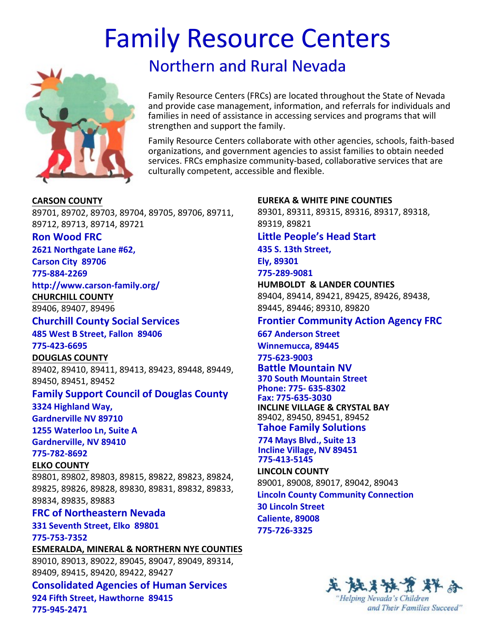# Family Resource Centers



# Northern and Rural Nevada

 Family Resource Centers (FRCs) are located throughout the State of Nevada families in need of assistance in accessing services and programs that will strengthen and support the family. and provide case management, information, and referrals for individuals and

 organizations, and government agencies to assist families to obtain needed culturally competent, accessible and flexible. Family Resource Centers collaborate with other agencies, schools, faith-based services. FRCs emphasize community-based, collaborative services that are

**CARSON COUNTY** 89701, 89702, 89703, 89704, 89705, 89706, 89711, 89712, 89713, 89714, 89721

#### **Ron Wood FRC**

**2621 Northgate Lane #62,** 

**Carson City 89706 775-884-2269**

**http://www.carson-family.org/**

**CHURCHILL COUNTY**

89406, 89407, 89496

## **Churchill County Social Services**

**485 West B Street, Fallon 89406**

**775-423-6695**

**DOUGLAS COUNTY**

89402, 89410, 89411, 89413, 89423, 89448, 89449, 89450, 89451, 89452

### **Family Support Council of Douglas County**

**3324 Highland Way,** 

**Gardnerville NV 89710**

**1255 Waterloo Ln, Suite A**

**Gardnerville, NV 89410**

## **775-782-8692**

**ELKO COUNTY**

89801, 89802, 89803, 89815, 89822, 89823, 89824, 89825, 89826, 89828, 89830, 89831, 89832, 89833, 89834, 89835, 89883

### **FRC of Northeastern Nevada**

**331 Seventh Street, Elko 89801 775-753-7352**

**ESMERALDA, MINERAL & NORTHERN NYE COUNTIES** 89010, 89013, 89022, 89045, 89047, 89049, 89314, 89409, 89415, 89420, 89422, 89427

**Consolidated Agencies of Human Services 924 Fifth Street, Hawthorne 89415 775-945-2471**

#### **EUREKA & WHITE PINE COUNTIES**

89301, 89311, 89315, 89316, 89317, 89318, 89319, 89821

### **Little People's Head Start**

 **435 S. 13th Street, Ely, 89301**

**775-289-9081**

**HUMBOLDT & LANDER COUNTIES** 89404, 89414, 89421, 89425, 89426, 89438, 89445, 89446; 89310, 89820

# **Frontier Community Action Agency FRC**

 **Winnemucca, 89445 667 Anderson Street 775-623-9003 Battle Mountain NV 370 South Mountain Street Phone: 775- 635-8302 Fax: 775-635-3030 INCLINE VILLAGE & CRYSTAL BAY** 89402, 89450, 89451, 89452 **Tahoe Family Solutions**

**774 Mays Blvd., Suite 13 Incline Village, NV 89451 775-413-5145**

### **LINCOLN COUNTY**

89001, 89008, 89017, 89042, 89043 **Lincoln County Community Connection**

 **Caliente, 89008 30 Lincoln Street 775-726-3325**